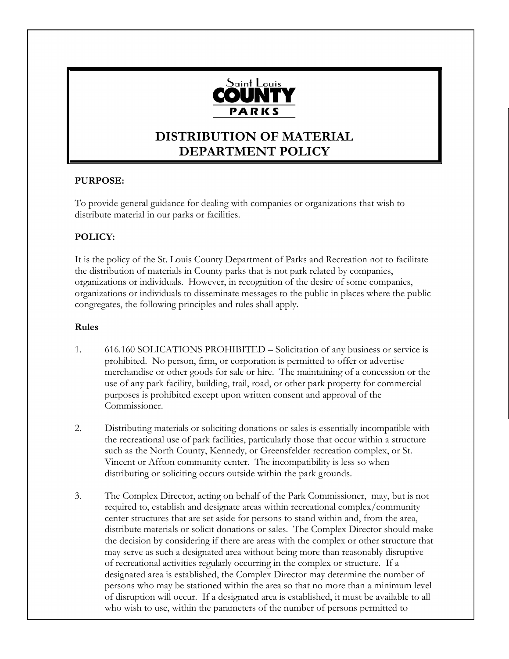

# **DISTRIBUTION OF MATERIAL DEPARTMENT POLICY**

### **PURPOSE:**

To provide general guidance for dealing with companies or organizations that wish to distribute material in our parks or facilities.

#### **POLICY:**

It is the policy of the St. Louis County Department of Parks and Recreation not to facilitate the distribution of materials in County parks that is not park related by companies, organizations or individuals. However, in recognition of the desire of some companies, organizations or individuals to disseminate messages to the public in places where the public congregates, the following principles and rules shall apply.

#### **Rules**

- 1. 616.160 SOLICATIONS PROHIBITED Solicitation of any business or service is prohibited. No person, firm, or corporation is permitted to offer or advertise merchandise or other goods for sale or hire. The maintaining of a concession or the use of any park facility, building, trail, road, or other park property for commercial purposes is prohibited except upon written consent and approval of the Commissioner.
- 2. Distributing materials or soliciting donations or sales is essentially incompatible with the recreational use of park facilities, particularly those that occur within a structure such as the North County, Kennedy, or Greensfelder recreation complex, or St. Vincent or Affton community center. The incompatibility is less so when distributing or soliciting occurs outside within the park grounds.
- 3. The Complex Director, acting on behalf of the Park Commissioner, may, but is not required to, establish and designate areas within recreational complex/community center structures that are set aside for persons to stand within and, from the area, distribute materials or solicit donations or sales. The Complex Director should make the decision by considering if there are areas with the complex or other structure that may serve as such a designated area without being more than reasonably disruptive of recreational activities regularly occurring in the complex or structure. If a designated area is established, the Complex Director may determine the number of persons who may be stationed within the area so that no more than a minimum level of disruption will occur. If a designated area is established, it must be available to all who wish to use, within the parameters of the number of persons permitted to